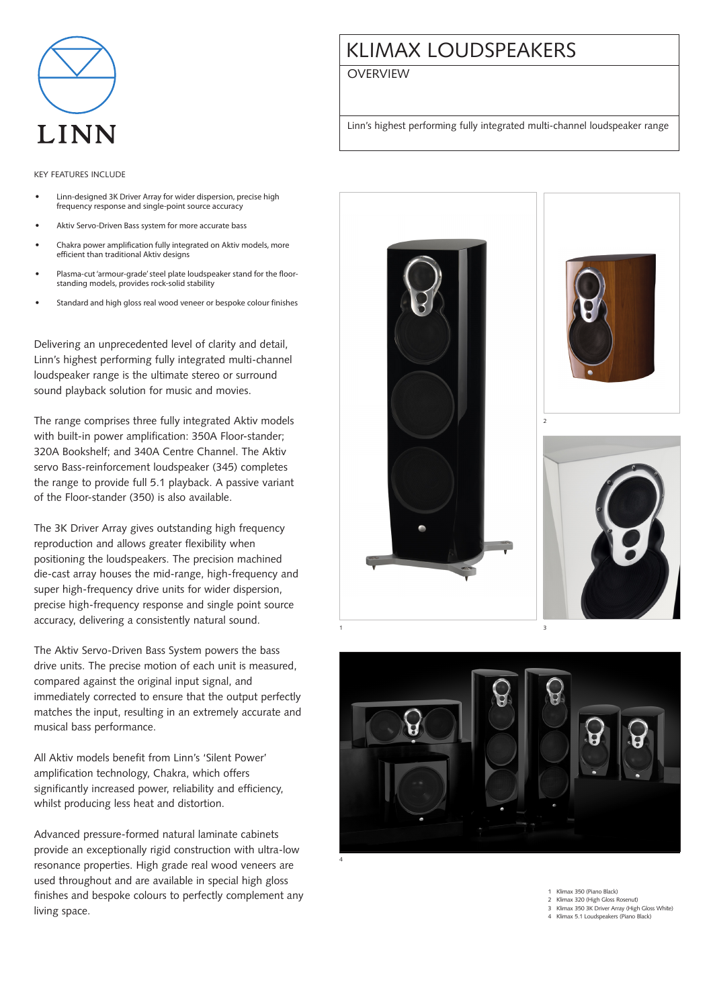

## Key features include

- Linn-designed 3K Driver Array for wider dispersion, precise high frequency response and single-point source accuracy
- Aktiv Servo-Driven Bass system for more accurate bass
- Chakra power amplification fully integrated on Aktiv models, more efficient than traditional Aktiv designs
- Plasma-cut 'armour-grade' steel plate loudspeaker stand for the floorstanding models, provides rock-solid stability
- Standard and high gloss real wood veneer or bespoke colour finishes

Delivering an unprecedented level of clarity and detail, Linn's highest performing fully integrated multi-channel loudspeaker range is the ultimate stereo or surround sound playback solution for music and movies.

The range comprises three fully integrated Aktiv models with built-in power amplification: 350A Floor-stander; 320A Bookshelf; and 340A Centre Channel. The Aktiv servo Bass-reinforcement loudspeaker (345) completes the range to provide full 5.1 playback. A passive variant of the Floor-stander (350) is also available.

The 3K Driver Array gives outstanding high frequency reproduction and allows greater flexibility when positioning the loudspeakers. The precision machined die-cast array houses the mid-range, high-frequency and super high-frequency drive units for wider dispersion, precise high-frequency response and single point source accuracy, delivering a consistently natural sound.

The Aktiv Servo-Driven Bass System powers the bass drive units. The precise motion of each unit is measured, compared against the original input signal, and immediately corrected to ensure that the output perfectly matches the input, resulting in an extremely accurate and musical bass performance.

All Aktiv models benefit from Linn's 'Silent Power' amplification technology, Chakra, which offers significantly increased power, reliability and efficiency, whilst producing less heat and distortion.

Advanced pressure-formed natural laminate cabinets provide an exceptionally rigid construction with ultra-low resonance properties. High grade real wood veneers are used throughout and are available in special high gloss finishes and bespoke colours to perfectly complement any living space.

## KLIMAX LOUDSPEAKERS

## **OVERVIEW**

Linn's highest performing fully integrated multi-channel loudspeaker range





1 Klimax 350 (Piano Black)

2 Klimax 320 (High Gloss Rosenut) 3 Klimax 350 3K Driver Array (High Gloss White)

4 Klimax 5.1 Loudspeakers (Piano Black)